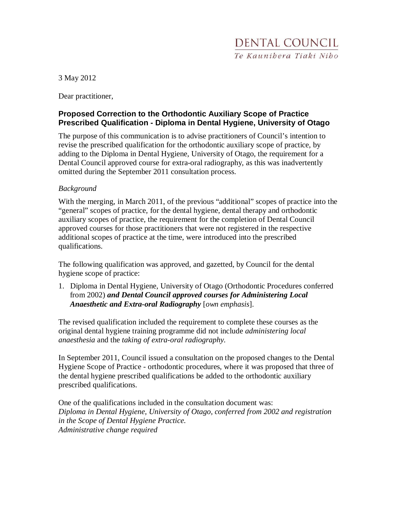3 May 2012

Dear practitioner,

## **Proposed Correction to the Orthodontic Auxiliary Scope of Practice Prescribed Qualification - Diploma in Dental Hygiene, University of Otago**

The purpose of this communication is to advise practitioners of Council's intention to revise the prescribed qualification for the orthodontic auxiliary scope of practice, by adding to the Diploma in Dental Hygiene, University of Otago, the requirement for a Dental Council approved course for extra-oral radiography, as this was inadvertently omitted during the September 2011 consultation process.

## *Background*

With the merging, in March 2011, of the previous "additional" scopes of practice into the "general" scopes of practice, for the dental hygiene, dental therapy and orthodontic auxiliary scopes of practice, the requirement for the completion of Dental Council approved courses for those practitioners that were not registered in the respective additional scopes of practice at the time, were introduced into the prescribed qualifications.

The following qualification was approved, and gazetted, by Council for the dental hygiene scope of practice:

1. Diploma in Dental Hygiene, University of Otago (Orthodontic Procedures conferred from 2002) *and Dental Council approved courses for Administering Local Anaesthetic and Extra-oral Radiography* [*own emphasis*].

The revised qualification included the requirement to complete these courses as the original dental hygiene training programme did not include *administering local anaesthesia* and the *taking of extra-oral radiography.* 

In September 2011, Council issued a consultation on the proposed changes to the Dental Hygiene Scope of Practice - orthodontic procedures, where it was proposed that three of the dental hygiene prescribed qualifications be added to the orthodontic auxiliary prescribed qualifications.

One of the qualifications included in the consultation document was: *Diploma in Dental Hygiene, University of Otago, conferred from 2002 and registration in the Scope of Dental Hygiene Practice. Administrative change required*